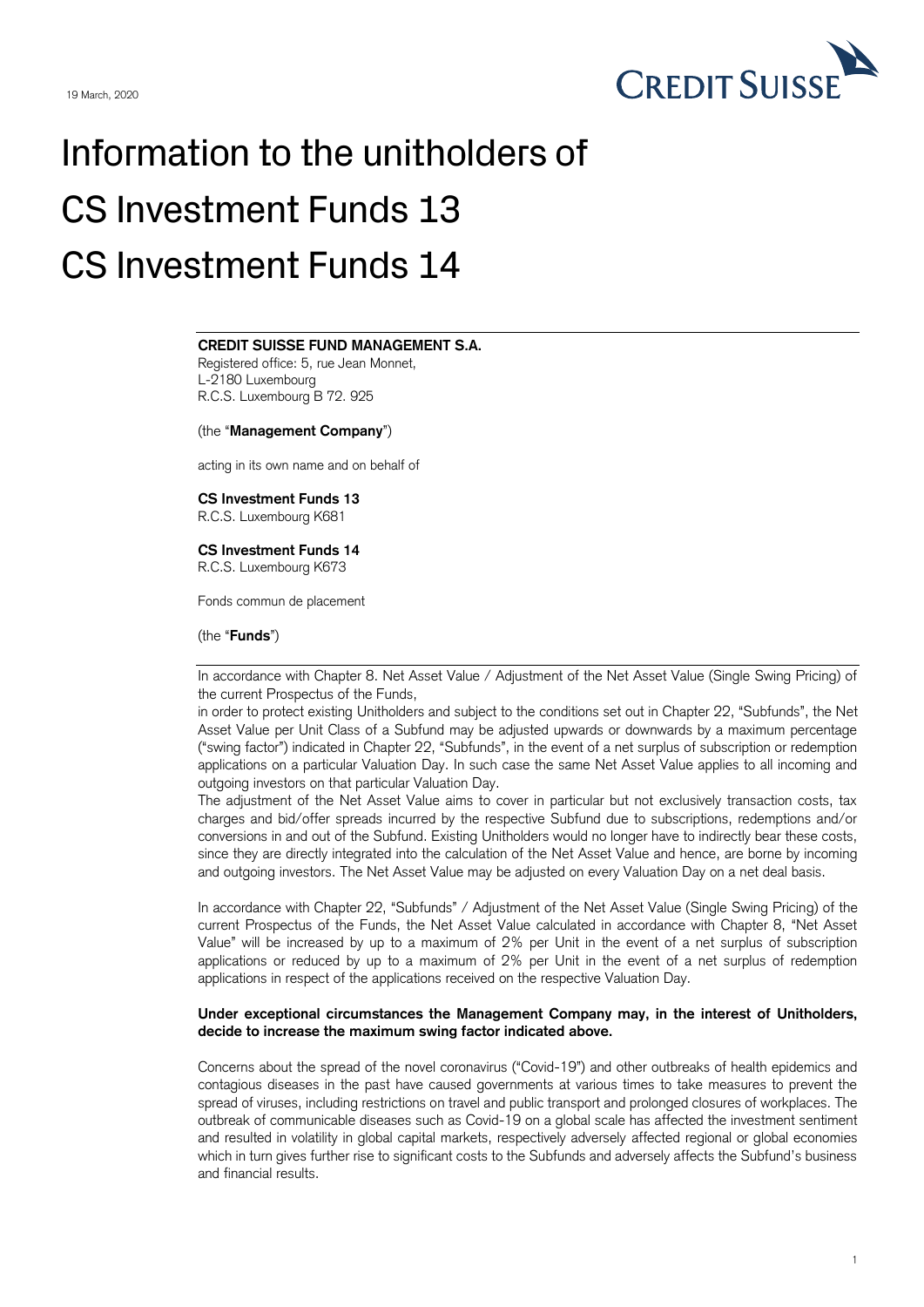

# Information to the unitholders of CS Investment Funds 13 CS Investment Funds 14

## $\frac{1}{\sqrt{1-\frac{1}{2}}\sqrt{1-\frac{1}{2}}\sqrt{1-\frac{1}{2}}\sqrt{1-\frac{1}{2}}\sqrt{1-\frac{1}{2}}\sqrt{1-\frac{1}{2}}\sqrt{1-\frac{1}{2}}\sqrt{1-\frac{1}{2}}\sqrt{1-\frac{1}{2}}\sqrt{1-\frac{1}{2}}\sqrt{1-\frac{1}{2}}\sqrt{1-\frac{1}{2}}\sqrt{1-\frac{1}{2}}\sqrt{1-\frac{1}{2}}\sqrt{1-\frac{1}{2}}\sqrt{1-\frac{1}{2}}\sqrt{1-\frac{1}{2}}\sqrt{1-\frac{1}{2}}\sqrt{1-\frac{1}{2}}\sqrt{1-\frac$ **CREDIT SUISSE FUND MANAGEMENT S.A.**

Registered office: 5, rue Jean Monnet, L-2180 Luxembourg R.C.S. Luxembourg B 72. 925

(the "**Management Company**")

acting in its own name and on behalf of

### **CS Investment Funds 13**

R.C.S. Luxembourg K681

#### **CS Investment Funds 14**

R.C.S. Luxembourg K673

Fonds commun de placement

(the "**Funds**")

In accordance with Chapter 8. Net Asset Value / Adjustment of the Net Asset Value (Single Swing Pricing) of the current Prospectus of the Funds,

in order to protect existing Unitholders and subject to the conditions set out in Chapter 22, "Subfunds", the Net Asset Value per Unit Class of a Subfund may be adjusted upwards or downwards by a maximum percentage ("swing factor") indicated in Chapter 22, "Subfunds", in the event of a net surplus of subscription or redemption applications on a particular Valuation Day. In such case the same Net Asset Value applies to all incoming and outgoing investors on that particular Valuation Day.

The adjustment of the Net Asset Value aims to cover in particular but not exclusively transaction costs, tax charges and bid/offer spreads incurred by the respective Subfund due to subscriptions, redemptions and/or conversions in and out of the Subfund. Existing Unitholders would no longer have to indirectly bear these costs, since they are directly integrated into the calculation of the Net Asset Value and hence, are borne by incoming and outgoing investors. The Net Asset Value may be adjusted on every Valuation Day on a net deal basis.

In accordance with Chapter 22, "Subfunds" / Adjustment of the Net Asset Value (Single Swing Pricing) of the current Prospectus of the Funds, the Net Asset Value calculated in accordance with Chapter 8, "Net Asset Value" will be increased by up to a maximum of 2% per Unit in the event of a net surplus of subscription applications or reduced by up to a maximum of 2% per Unit in the event of a net surplus of redemption applications in respect of the applications received on the respective Valuation Day.

#### **Under exceptional circumstances the Management Company may, in the interest of Unitholders, decide to increase the maximum swing factor indicated above.**

Concerns about the spread of the novel coronavirus ("Covid-19") and other outbreaks of health epidemics and contagious diseases in the past have caused governments at various times to take measures to prevent the spread of viruses, including restrictions on travel and public transport and prolonged closures of workplaces. The outbreak of communicable diseases such as Covid-19 on a global scale has affected the investment sentiment and resulted in volatility in global capital markets, respectively adversely affected regional or global economies which in turn gives further rise to significant costs to the Subfunds and adversely affects the Subfund's business and financial results.